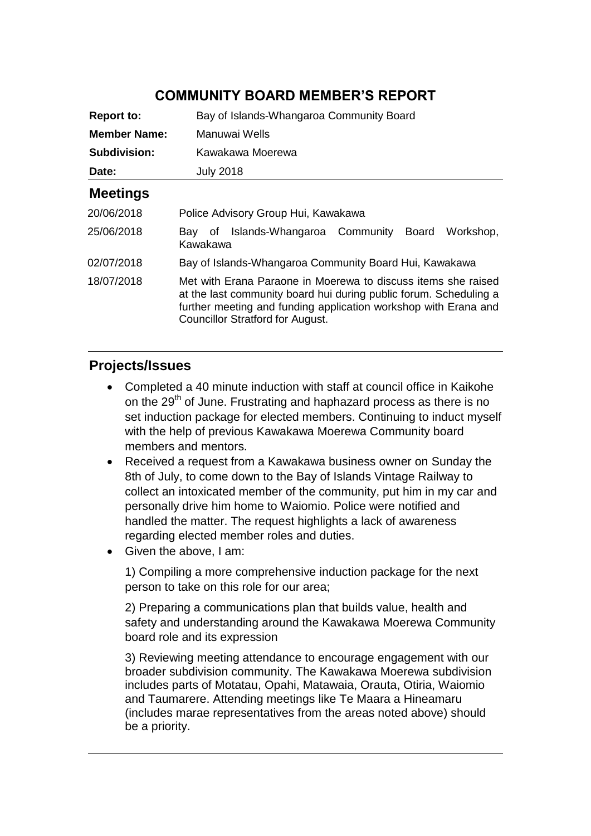## **COMMUNITY BOARD MEMBER'S REPORT**

| <b>Report to:</b>   | Bay of Islands-Whangaroa Community Board                                                                                                                                                                                                  |
|---------------------|-------------------------------------------------------------------------------------------------------------------------------------------------------------------------------------------------------------------------------------------|
| <b>Member Name:</b> | Manuwai Wells                                                                                                                                                                                                                             |
| Subdivision:        | Kawakawa Moerewa                                                                                                                                                                                                                          |
| Date:               | <b>July 2018</b>                                                                                                                                                                                                                          |
| <b>Meetings</b>     |                                                                                                                                                                                                                                           |
| 20/06/2018          | Police Advisory Group Hui, Kawakawa                                                                                                                                                                                                       |
| 25/06/2018          | Bay of Islands-Whangaroa Community Board<br>Workshop.<br>Kawakawa                                                                                                                                                                         |
| 02/07/2018          | Bay of Islands-Whangaroa Community Board Hui, Kawakawa                                                                                                                                                                                    |
| 18/07/2018          | Met with Erana Paraone in Moerewa to discuss items she raised<br>at the last community board hui during public forum. Scheduling a<br>further meeting and funding application workshop with Erana and<br>Councillor Stratford for August. |

#### **Projects/Issues**

- Completed a 40 minute induction with staff at council office in Kaikohe on the 29<sup>th</sup> of June. Frustrating and haphazard process as there is no set induction package for elected members. Continuing to induct myself with the help of previous Kawakawa Moerewa Community board members and mentors.
- Received a request from a Kawakawa business owner on Sunday the 8th of July, to come down to the Bay of Islands Vintage Railway to collect an intoxicated member of the community, put him in my car and personally drive him home to Waiomio. Police were notified and handled the matter. The request highlights a lack of awareness regarding elected member roles and duties.
- Given the above, I am:

1) Compiling a more comprehensive induction package for the next person to take on this role for our area;

2) Preparing a communications plan that builds value, health and safety and understanding around the Kawakawa Moerewa Community board role and its expression

3) Reviewing meeting attendance to encourage engagement with our broader subdivision community. The Kawakawa Moerewa subdivision includes parts of Motatau, Opahi, Matawaia, Orauta, Otiria, Waiomio and Taumarere. Attending meetings like Te Maara a Hineamaru (includes marae representatives from the areas noted above) should be a priority.